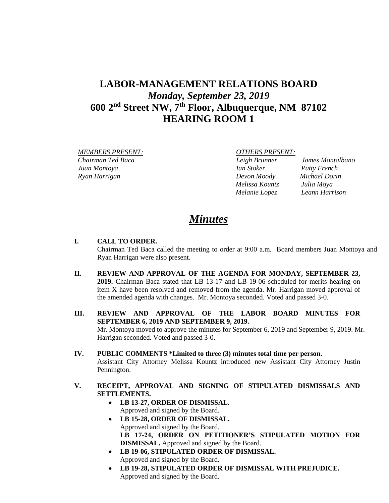# **LABOR-MANAGEMENT RELATIONS BOARD** *Monday, September 23, 2019* **600 2nd Street NW, 7th Floor, Albuquerque, NM 87102 HEARING ROOM 1**

 *MEMBERS PRESENT: OTHERS PRESENT: Chairman Ted Baca Leigh Brunner James Montalbano Juan Montoya Ian Stoker Patty French Ryan Harrigan Devon Moody Michael Dorin* 

 *Melissa Kountz Julia Moya*

 *Melanie Lopez Leann Harrison*

# *Minutes*

## **I. CALL TO ORDER.**

Chairman Ted Baca called the meeting to order at 9:00 a.m. Board members Juan Montoya and Ryan Harrigan were also present.

- **II. REVIEW AND APPROVAL OF THE AGENDA FOR MONDAY, SEPTEMBER 23, 2019.** Chairman Baca stated that LB 13-17 and LB 19-06 scheduled for merits hearing on item X have been resolved and removed from the agenda. Mr. Harrigan moved approval of the amended agenda with changes. Mr. Montoya seconded. Voted and passed 3-0.
- **III. REVIEW AND APPROVAL OF THE LABOR BOARD MINUTES FOR SEPTEMBER 6, 2019 AND SEPTEMBER 9, 2019.**  Mr. Montoya moved to approve the minutes for September 6, 2019 and September 9, 2019. Mr. Harrigan seconded. Voted and passed 3-0.
- **IV. PUBLIC COMMENTS \*Limited to three (3) minutes total time per person.** Assistant City Attorney Melissa Kountz introduced new Assistant City Attorney Justin Pennington.
- **V. RECEIPT, APPROVAL AND SIGNING OF STIPULATED DISMISSALS AND SETTLEMENTS.**
	- **LB 13-27, ORDER OF DISMISSAL.** Approved and signed by the Board.
	- **LB 15-28, ORDER OF DISMISSAL.** Approved and signed by the Board. **LB 17-24, ORDER ON PETITIONER'S STIPULATED MOTION FOR DISMISSAL.** Approved and signed by the Board.
	- **LB 19-06, STIPULATED ORDER OF DISMISSAL.** Approved and signed by the Board.
	- **LB 19-28, STIPULATED ORDER OF DISMISSAL WITH PREJUDICE.**  Approved and signed by the Board.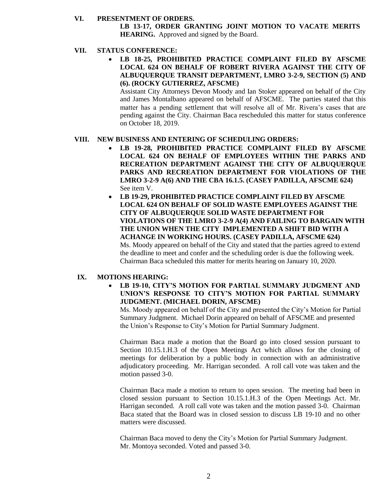#### **VI. PRESENTMENT OF ORDERS.**

**LB 13-17, ORDER GRANTING JOINT MOTION TO VACATE MERITS HEARING.** Approved and signed by the Board.

## **VII. STATUS CONFERENCE:**

• **LB 18-25, PROHIBITED PRACTICE COMPLAINT FILED BY AFSCME LOCAL 624 ON BEHALF OF ROBERT RIVERA AGAINST THE CITY OF ALBUQUERQUE TRANSIT DEPARTMENT, LMRO 3-2-9, SECTION (5) AND (6). (ROCKY GUTIERREZ, AFSCME)** 

Assistant City Attorneys Devon Moody and Ian Stoker appeared on behalf of the City and James Montalbano appeared on behalf of AFSCME. The parties stated that this matter has a pending settlement that will resolve all of Mr. Rivera's cases that are pending against the City. Chairman Baca rescheduled this matter for status conference on October 18, 2019.

### **VIII. NEW BUSINESS AND ENTERING OF SCHEDULING ORDERS:**

- **LB 19-28, PROHIBITED PRACTICE COMPLAINT FILED BY AFSCME LOCAL 624 ON BEHALF OF EMPLOYEES WITHIN THE PARKS AND RECREATION DEPARTMENT AGAINST THE CITY OF ALBUQUERQUE PARKS AND RECREATION DEPARTMENT FOR VIOLATIONS OF THE LMRO 3-2-9 A(6) AND THE CBA 16.1.5. (CASEY PADILLA, AFSCME 624)** See item V.
- **LB 19-29, PROHIBITED PRACTICE COMPLAINT FILED BY AFSCME LOCAL 624 ON BEHALF OF SOLID WASTE EMPLOYEES AGAINST THE CITY OF ALBUQUERQUE SOLID WASTE DEPARTMENT FOR VIOLATIONS OF THE LMRO 3-2-9 A(4) AND FAILING TO BARGAIN WITH THE UNION WHEN THE CITY IMPLEMENTED A SHIFT BID WITH A ACHANGE IN WORKING HOURS. (CASEY PADILLA, AFSCME 624)** Ms. Moody appeared on behalf of the City and stated that the parties agreed to extend the deadline to meet and confer and the scheduling order is due the following week.

Chairman Baca scheduled this matter for merits hearing on January 10, 2020.

### **IX. MOTIONS HEARING:**

• **LB 19-10, CITY'S MOTION FOR PARTIAL SUMMARY JUDGMENT AND UNION'S RESPONSE TO CITY'S MOTION FOR PARTIAL SUMMARY JUDGMENT. (MICHAEL DORIN, AFSCME)**

Ms. Moody appeared on behalf of the City and presented the City's Motion for Partial Summary Judgment. Michael Dorin appeared on behalf of AFSCME and presented the Union's Response to City's Motion for Partial Summary Judgment.

Chairman Baca made a motion that the Board go into closed session pursuant to Section 10.15.1.H.3 of the Open Meetings Act which allows for the closing of meetings for deliberation by a public body in connection with an administrative adjudicatory proceeding. Mr. Harrigan seconded. A roll call vote was taken and the motion passed 3-0.

Chairman Baca made a motion to return to open session. The meeting had been in closed session pursuant to Section 10.15.1.H.3 of the Open Meetings Act. Mr. Harrigan seconded. A roll call vote was taken and the motion passed 3-0. Chairman Baca stated that the Board was in closed session to discuss LB 19-10 and no other matters were discussed.

Chairman Baca moved to deny the City's Motion for Partial Summary Judgment. Mr. Montoya seconded. Voted and passed 3-0.